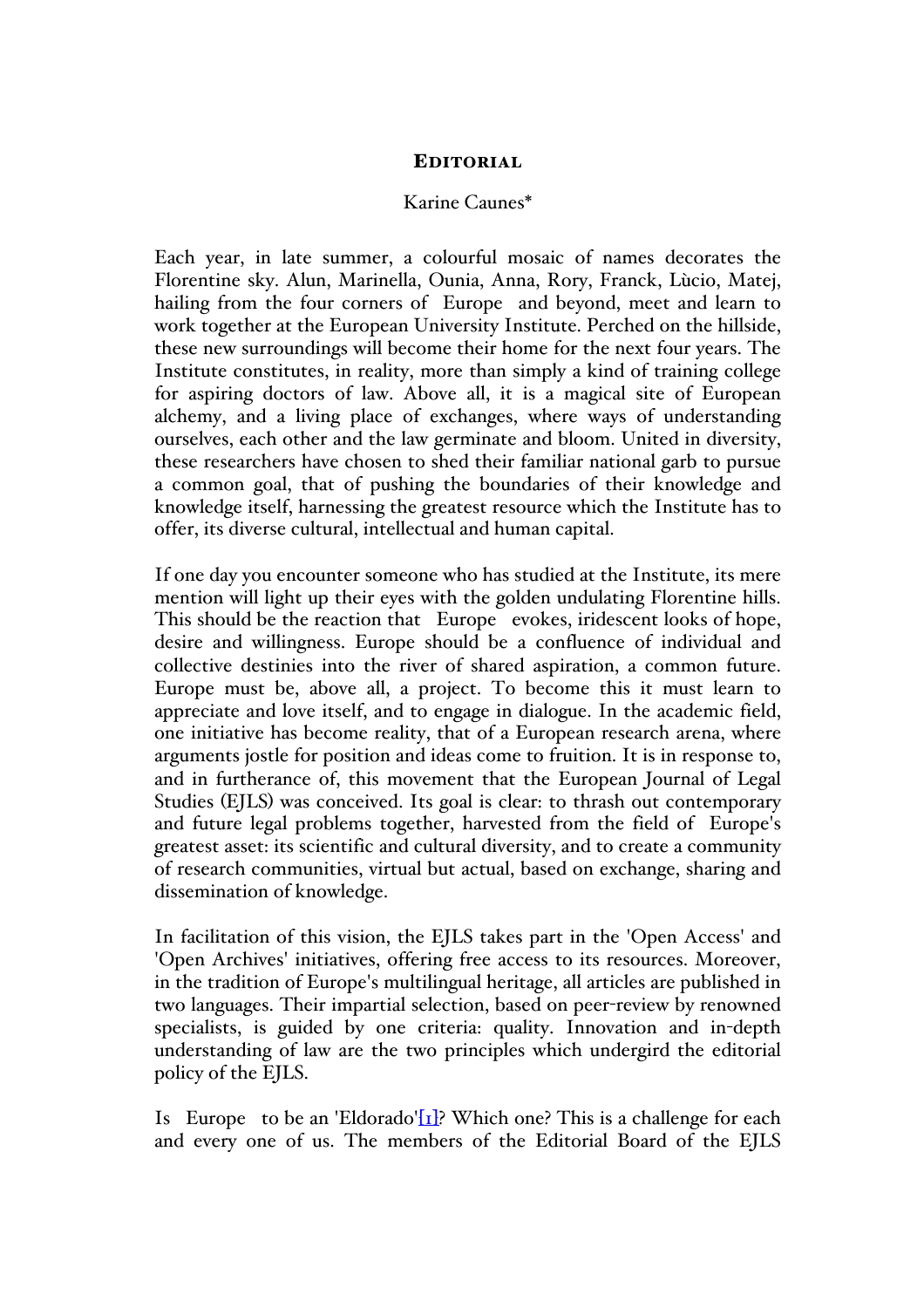# EDITORIAL

# Karine Caunes\*

Each year, in late summer, a colourful mosaic of names decorates the Florentine sky. Alun, Marinella, Ounia, Anna, Rory, Franck, Lùcio, Matej, hailing from the four corners of Europe and beyond, meet and learn to work together at the European University Institute. Perched on the hillside, these new surroundings will become their home for the next four years. The Institute constitutes, in reality, more than simply a kind of training college for aspiring doctors of law. Above all, it is a magical site of European alchemy, and a living place of exchanges, where ways of understanding ourselves, each other and the law germinate and bloom. United in diversity, these researchers have chosen to shed their familiar national garb to pursue a common goal, that of pushing the boundaries of their knowledge and knowledge itself, harnessing the greatest resource which the Institute has to offer, its diverse cultural, intellectual and human capital.

If one day you encounter someone who has studied at the Institute, its mere mention will light up their eyes with the golden undulating Florentine hills. This should be the reaction that Europe evokes, iridescent looks of hope, desire and willingness. Europe should be a confluence of individual and collective destinies into the river of shared aspiration, a common future. Europe must be, above all, a project. To become this it must learn to appreciate and love itself, and to engage in dialogue. In the academic field, one initiative has become reality, that of a European research arena, where arguments jostle for position and ideas come to fruition. It is in response to, and in furtherance of, this movement that the European Journal of Legal Studies (EJLS) was conceived. Its goal is clear: to thrash out contemporary and future legal problems together, harvested from the field of Europe's greatest asset: its scientific and cultural diversity, and to create a community of research communities, virtual but actual, based on exchange, sharing and dissemination of knowledge.

In facilitation of this vision, the EJLS takes part in the 'Open Access' and 'Open Archives' initiatives, offering free access to its resources. Moreover, in the tradition of Europe's multilingual heritage, all articles are published in two languages. Their impartial selection, based on peer-review by renowned specialists, is guided by one criteria: quality. Innovation and in-depth understanding of law are the two principles which undergird the editorial policy of the EJLS.

Is Europe to be an 'Eldorado' $[I_1]$ ? Which one? This is a challenge for each and every one of us. The members of the Editorial Board of the EJLS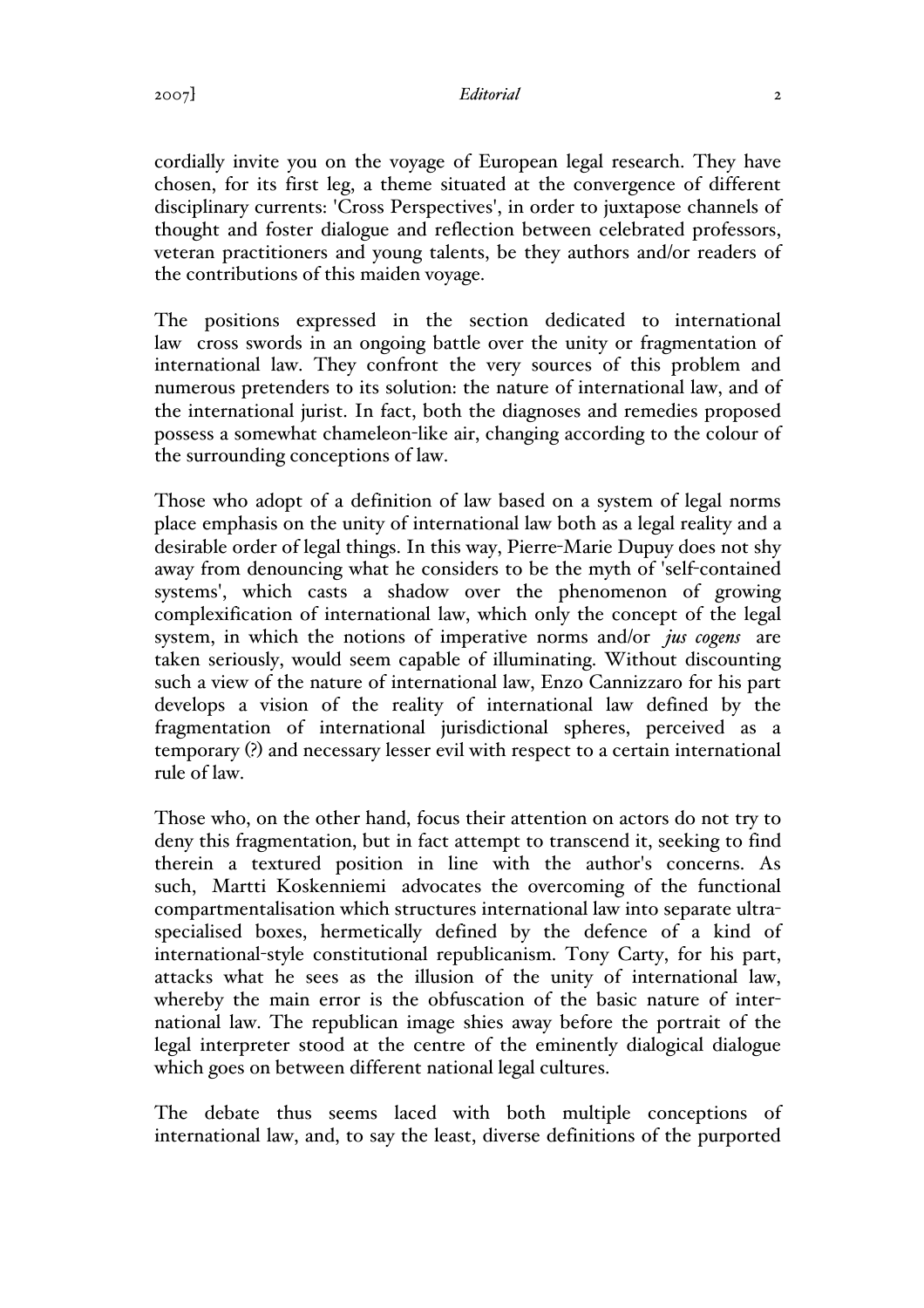2007] *Editorial* 2

cordially invite you on the voyage of European legal research. They have chosen, for its first leg, a theme situated at the convergence of different disciplinary currents: 'Cross Perspectives', in order to juxtapose channels of thought and foster dialogue and reflection between celebrated professors, veteran practitioners and young talents, be they authors and/or readers of the contributions of this maiden voyage.

The positions expressed in the section dedicated to international law cross swords in an ongoing battle over the unity or fragmentation of international law. They confront the very sources of this problem and numerous pretenders to its solution: the nature of international law, and of the international jurist. In fact, both the diagnoses and remedies proposed possess a somewhat chameleon-like air, changing according to the colour of the surrounding conceptions of law.

Those who adopt of a definition of law based on a system of legal norms place emphasis on the unity of international law both as a legal reality and a desirable order of legal things. In this way, Pierre-Marie Dupuy does not shy away from denouncing what he considers to be the myth of 'self-contained systems', which casts a shadow over the phenomenon of growing complexification of international law, which only the concept of the legal system, in which the notions of imperative norms and/or *jus cogens* are taken seriously, would seem capable of illuminating. Without discounting such a view of the nature of international law, Enzo Cannizzaro for his part develops a vision of the reality of international law defined by the fragmentation of international jurisdictional spheres, perceived as a temporary (?) and necessary lesser evil with respect to a certain international rule of law.

Those who, on the other hand, focus their attention on actors do not try to deny this fragmentation, but in fact attempt to transcend it, seeking to find therein a textured position in line with the author's concerns. As such, Martti Koskenniemi advocates the overcoming of the functional compartmentalisation which structures international law into separate ultraspecialised boxes, hermetically defined by the defence of a kind of international-style constitutional republicanism. Tony Carty, for his part, attacks what he sees as the illusion of the unity of international law, whereby the main error is the obfuscation of the basic nature of international law. The republican image shies away before the portrait of the legal interpreter stood at the centre of the eminently dialogical dialogue which goes on between different national legal cultures.

The debate thus seems laced with both multiple conceptions of international law, and, to say the least, diverse definitions of the purported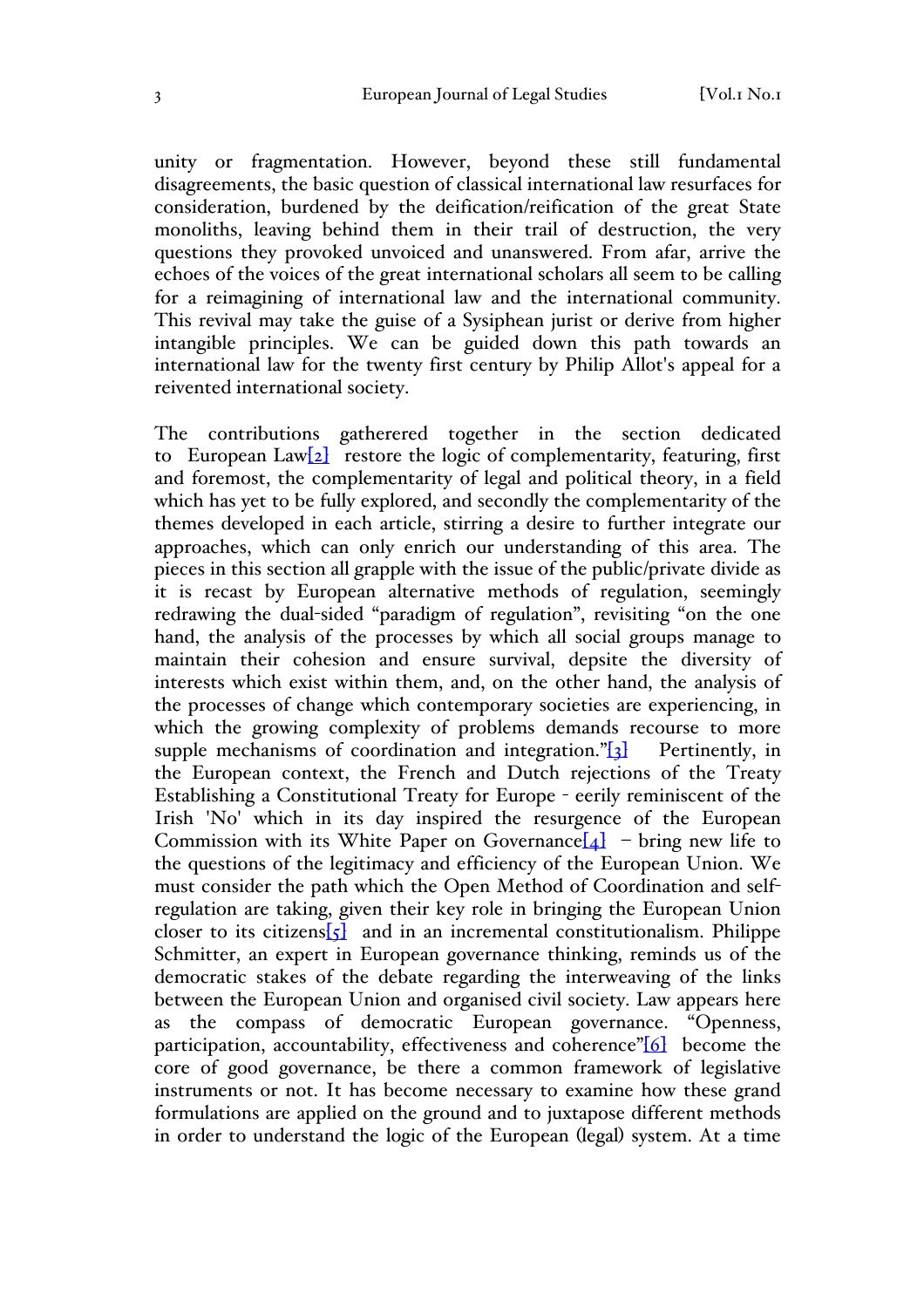unity or fragmentation. However, beyond these still fundamental disagreements, the basic question of classical international law resurfaces for consideration, burdened by the deification/reification of the great State monoliths, leaving behind them in their trail of destruction, the very questions they provoked unvoiced and unanswered. From afar, arrive the echoes of the voices of the great international scholars all seem to be calling for a reimagining of international law and the international community. This revival may take the guise of a Sysiphean jurist or derive from higher intangible principles. We can be guided down this path towards an international law for the twenty first century by Philip Allot's appeal for a reivented international society.

The contributions gatherered together in the section dedicated to European Law $[2]$  restore the logic of complementarity, featuring, first and foremost, the complementarity of legal and political theory, in a field which has yet to be fully explored, and secondly the complementarity of the themes developed in each article, stirring a desire to further integrate our approaches, which can only enrich our understanding of this area. The pieces in this section all grapple with the issue of the public/private divide as it is recast by European alternative methods of regulation, seemingly redrawing the dual-sided "paradigm of regulation", revisiting "on the one hand, the analysis of the processes by which all social groups manage to maintain their cohesion and ensure survival, depsite the diversity of interests which exist within them, and, on the other hand, the analysis of the processes of change which contemporary societies are experiencing, in which the growing complexity of problems demands recourse to more supple mechanisms of coordination and integration." $\begin{bmatrix} 3 \end{bmatrix}$  Pertinently, in the European context, the French and Dutch rejections of the Treaty Establishing a Constitutional Treaty for Europe - eerily reminiscent of the Irish 'No' which in its day inspired the resurgence of the European Commission with its White Paper on Governance  $[4]$  – bring new life to the questions of the legitimacy and efficiency of the European Union. We must consider the path which the Open Method of Coordination and selfregulation are taking, given their key role in bringing the European Union closer to its citizens $\overline{5}$  and in an incremental constitutionalism. Philippe Schmitter, an expert in European governance thinking, reminds us of the democratic stakes of the debate regarding the interweaving of the links between the European Union and organised civil society. Law appears here as the compass of democratic European governance. "Openness, participation, accountability, effectiveness and coherence" $[6]$  become the core of good governance, be there a common framework of legislative instruments or not. It has become necessary to examine how these grand formulations are applied on the ground and to juxtapose different methods in order to understand the logic of the European (legal) system. At a time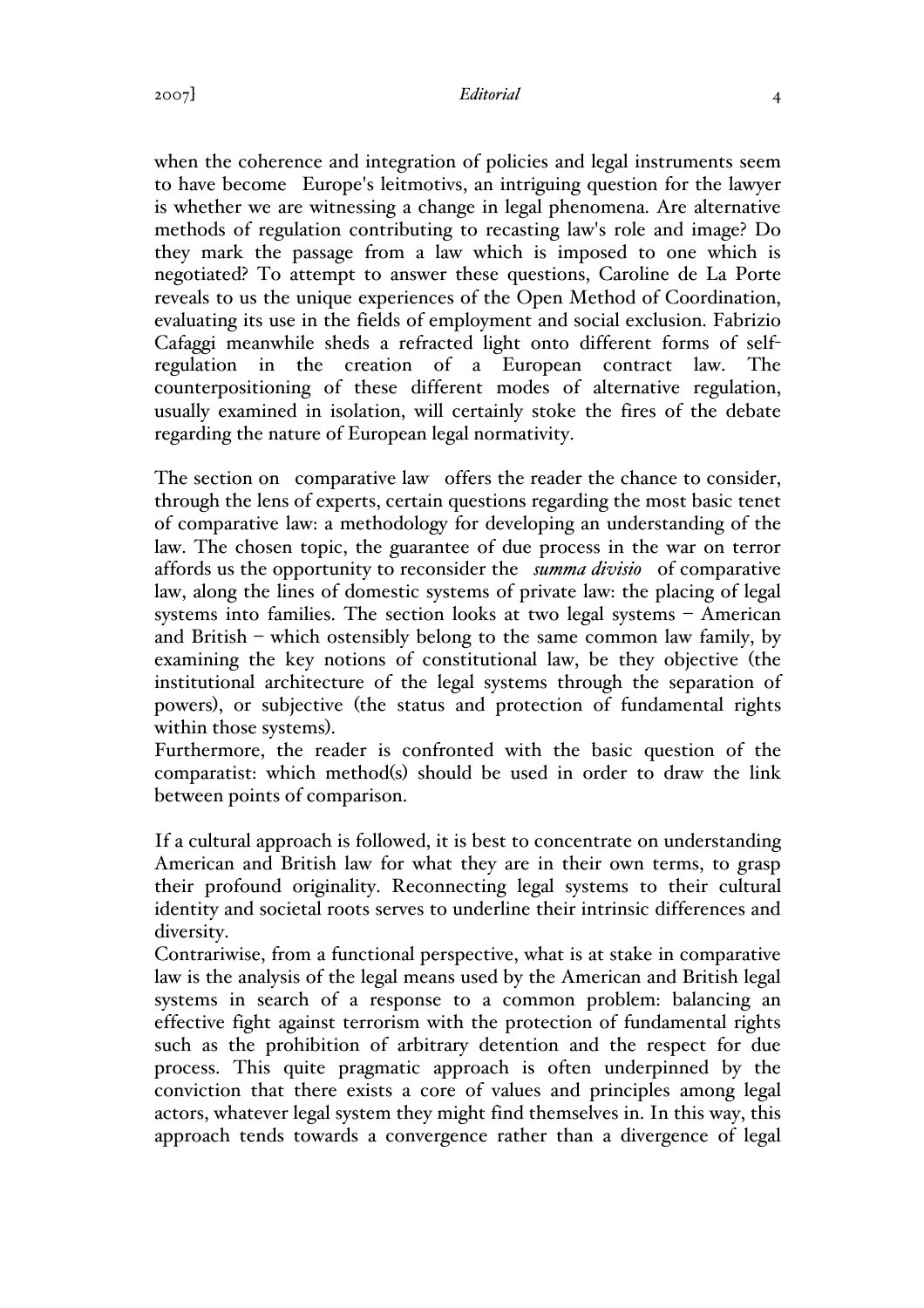### 2007] *Editorial* 4

when the coherence and integration of policies and legal instruments seem to have become Europe's leitmotivs, an intriguing question for the lawyer is whether we are witnessing a change in legal phenomena. Are alternative methods of regulation contributing to recasting law's role and image? Do they mark the passage from a law which is imposed to one which is negotiated? To attempt to answer these questions, Caroline de La Porte reveals to us the unique experiences of the Open Method of Coordination, evaluating its use in the fields of employment and social exclusion. Fabrizio Cafaggi meanwhile sheds a refracted light onto different forms of selfregulation in the creation of a European contract law. The counterpositioning of these different modes of alternative regulation, usually examined in isolation, will certainly stoke the fires of the debate regarding the nature of European legal normativity.

The section on comparative law offers the reader the chance to consider, through the lens of experts, certain questions regarding the most basic tenet of comparative law: a methodology for developing an understanding of the law. The chosen topic, the guarantee of due process in the war on terror affords us the opportunity to reconsider the *summa divisio* of comparative law, along the lines of domestic systems of private law: the placing of legal systems into families. The section looks at two legal systems – American and British – which ostensibly belong to the same common law family, by examining the key notions of constitutional law, be they objective (the institutional architecture of the legal systems through the separation of powers), or subjective (the status and protection of fundamental rights within those systems).

Furthermore, the reader is confronted with the basic question of the comparatist: which method(s) should be used in order to draw the link between points of comparison.

If a cultural approach is followed, it is best to concentrate on understanding American and British law for what they are in their own terms, to grasp their profound originality. Reconnecting legal systems to their cultural identity and societal roots serves to underline their intrinsic differences and diversity.

Contrariwise, from a functional perspective, what is at stake in comparative law is the analysis of the legal means used by the American and British legal systems in search of a response to a common problem: balancing an effective fight against terrorism with the protection of fundamental rights such as the prohibition of arbitrary detention and the respect for due process. This quite pragmatic approach is often underpinned by the conviction that there exists a core of values and principles among legal actors, whatever legal system they might find themselves in. In this way, this approach tends towards a convergence rather than a divergence of legal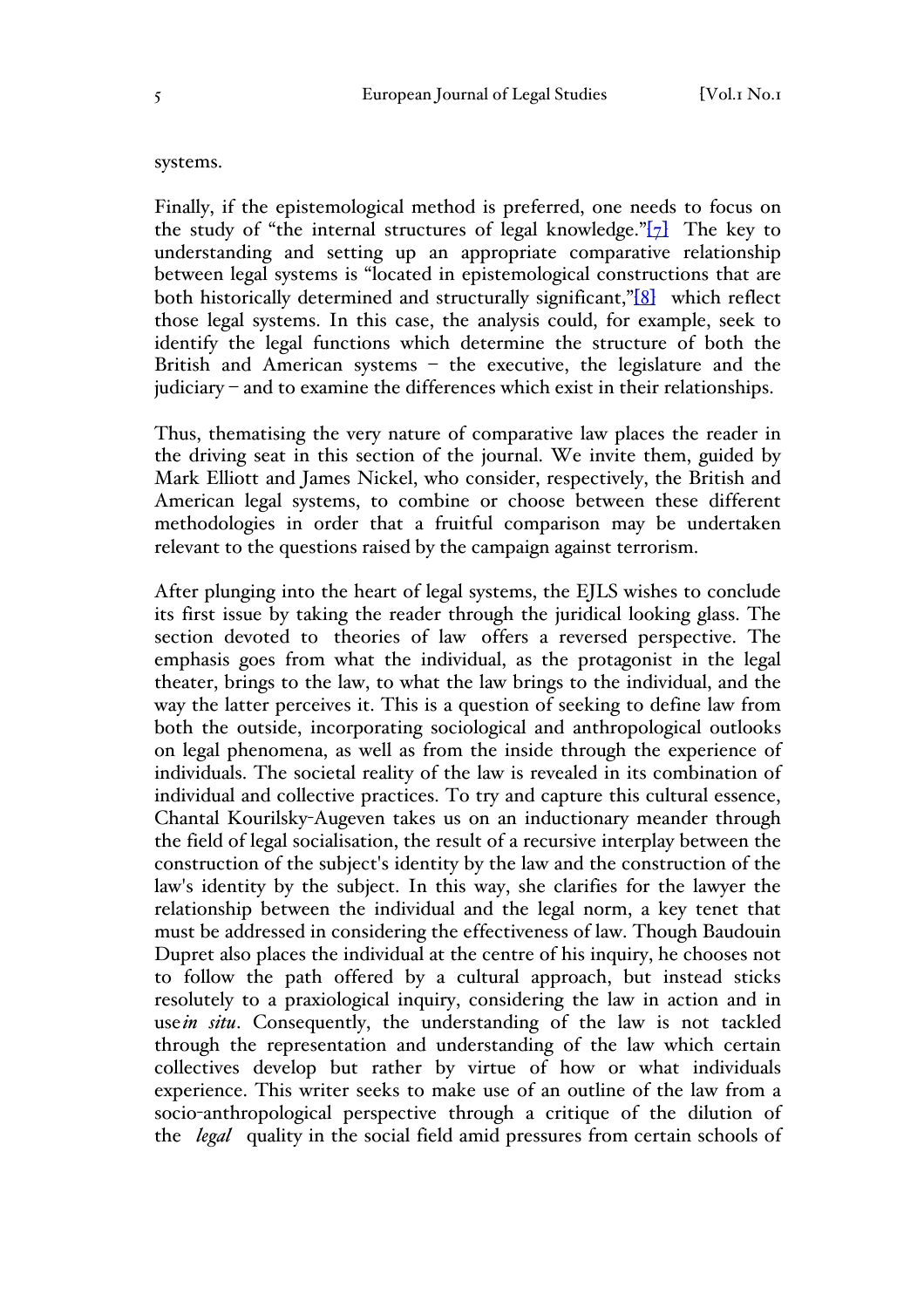### systems.

Finally, if the epistemological method is preferred, one needs to focus on the study of "the internal structures of legal knowledge." $[7]$  The key to understanding and setting up an appropriate comparative relationship between legal systems is "located in epistemological constructions that are both historically determined and structurally significant,"<sup>[8]</sup> which reflect those legal systems. In this case, the analysis could, for example, seek to identify the legal functions which determine the structure of both the British and American systems – the executive, the legislature and the judiciary – and to examine the differences which exist in their relationships.

Thus, thematising the very nature of comparative law places the reader in the driving seat in this section of the journal. We invite them, guided by Mark Elliott and James Nickel, who consider, respectively, the British and American legal systems, to combine or choose between these different methodologies in order that a fruitful comparison may be undertaken relevant to the questions raised by the campaign against terrorism.

After plunging into the heart of legal systems, the EJLS wishes to conclude its first issue by taking the reader through the juridical looking glass. The section devoted to theories of law offers a reversed perspective. The emphasis goes from what the individual, as the protagonist in the legal theater, brings to the law, to what the law brings to the individual, and the way the latter perceives it. This is a question of seeking to define law from both the outside, incorporating sociological and anthropological outlooks on legal phenomena, as well as from the inside through the experience of individuals. The societal reality of the law is revealed in its combination of individual and collective practices. To try and capture this cultural essence, Chantal Kourilsky-Augeven takes us on an inductionary meander through the field of legal socialisation, the result of a recursive interplay between the construction of the subject's identity by the law and the construction of the law's identity by the subject. In this way, she clarifies for the lawyer the relationship between the individual and the legal norm, a key tenet that must be addressed in considering the effectiveness of law. Though Baudouin Dupret also places the individual at the centre of his inquiry, he chooses not to follow the path offered by a cultural approach, but instead sticks resolutely to a praxiological inquiry, considering the law in action and in use*in situ*. Consequently, the understanding of the law is not tackled through the representation and understanding of the law which certain collectives develop but rather by virtue of how or what individuals experience. This writer seeks to make use of an outline of the law from a socio-anthropological perspective through a critique of the dilution of the *legal* quality in the social field amid pressures from certain schools of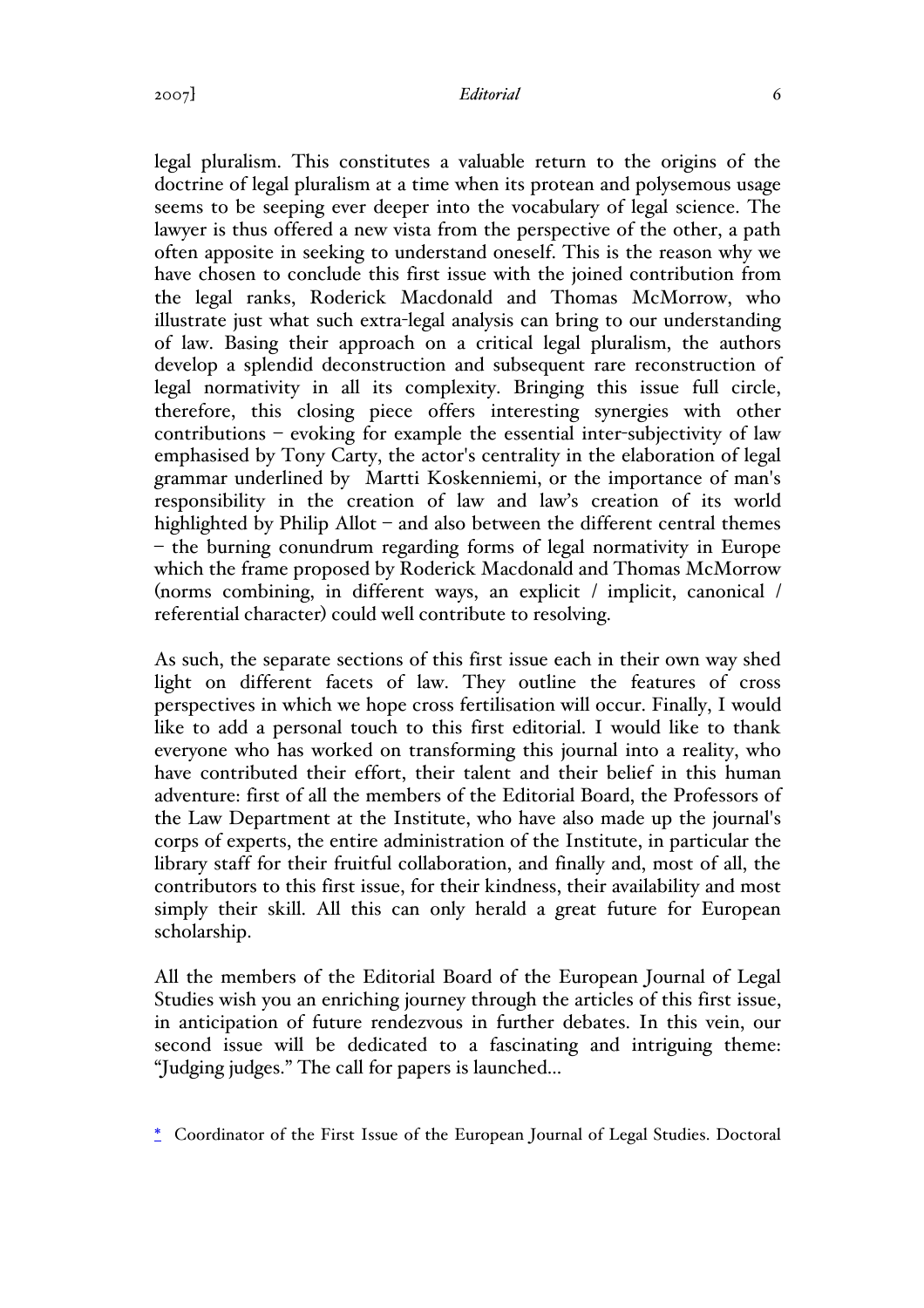#### 2007] *Editorial* 6

legal pluralism. This constitutes a valuable return to the origins of the doctrine of legal pluralism at a time when its protean and polysemous usage seems to be seeping ever deeper into the vocabulary of legal science. The lawyer is thus offered a new vista from the perspective of the other, a path often apposite in seeking to understand oneself. This is the reason why we have chosen to conclude this first issue with the joined contribution from the legal ranks, Roderick Macdonald and Thomas McMorrow, who illustrate just what such extra-legal analysis can bring to our understanding of law. Basing their approach on a critical legal pluralism, the authors develop a splendid deconstruction and subsequent rare reconstruction of legal normativity in all its complexity. Bringing this issue full circle, therefore, this closing piece offers interesting synergies with other contributions – evoking for example the essential inter-subjectivity of law emphasised by Tony Carty, the actor's centrality in the elaboration of legal grammar underlined by Martti Koskenniemi, or the importance of man's responsibility in the creation of law and law's creation of its world highlighted by Philip Allot – and also between the different central themes – the burning conundrum regarding forms of legal normativity in Europe which the frame proposed by Roderick Macdonald and Thomas McMorrow (norms combining, in different ways, an explicit / implicit, canonical / referential character) could well contribute to resolving.

As such, the separate sections of this first issue each in their own way shed light on different facets of law. They outline the features of cross perspectives in which we hope cross fertilisation will occur. Finally, I would like to add a personal touch to this first editorial. I would like to thank everyone who has worked on transforming this journal into a reality, who have contributed their effort, their talent and their belief in this human adventure: first of all the members of the Editorial Board, the Professors of the Law Department at the Institute, who have also made up the journal's corps of experts, the entire administration of the Institute, in particular the library staff for their fruitful collaboration, and finally and, most of all, the contributors to this first issue, for their kindness, their availability and most simply their skill. All this can only herald a great future for European scholarship.

All the members of the Editorial Board of the European Journal of Legal Studies wish you an enriching journey through the articles of this first issue, in anticipation of future rendezvous in further debates. In this vein, our second issue will be dedicated to a fascinating and intriguing theme: "Judging judges." The call for papers is launched...

\* Coordinator of the First Issue of the European Journal of Legal Studies. Doctoral